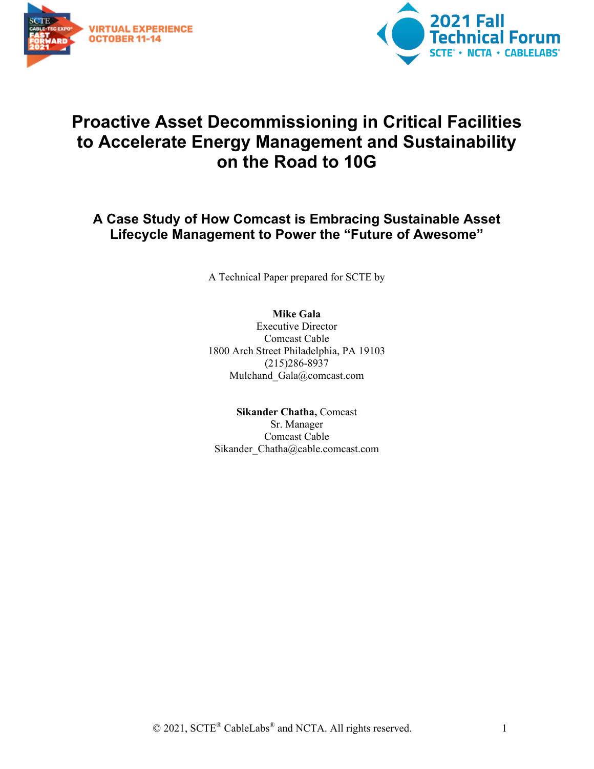



## **Proactive Asset Decommissioning in Critical Facilities to Accelerate Energy Management and Sustainability on the Road to 10G**

## **A Case Study of How Comcast is Embracing Sustainable Asset Lifecycle Management to Power the "Future of Awesome"**

A Technical Paper prepared for SCTE by

#### **Mike Gala**

Executive Director Comcast Cable 1800 Arch Street Philadelphia, PA 19103 (215)286-8937 Mulchand Gala@comcast.com

**Sikander Chatha,** Comcast Sr. Manager Comcast Cable Sikander\_Chatha@cable.comcast.com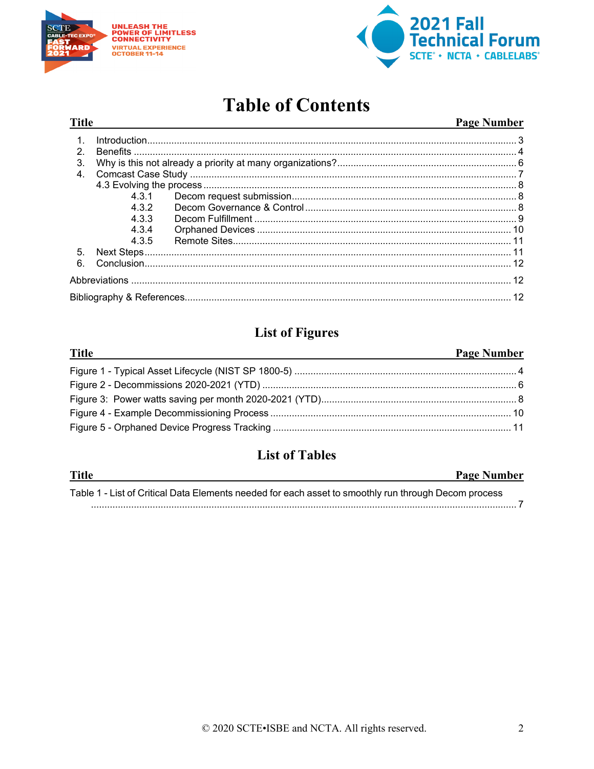

**Title** 



## **Table of Contents**

#### **Page Number**

| $\mathcal{P}$ |     | Introduction 3 |  |  |  |  |
|---------------|-----|----------------|--|--|--|--|
| 3.            |     |                |  |  |  |  |
| $\mathbf{4}$  |     |                |  |  |  |  |
|               |     |                |  |  |  |  |
|               |     |                |  |  |  |  |
|               | 432 |                |  |  |  |  |
|               | 433 |                |  |  |  |  |
|               | 434 |                |  |  |  |  |
|               | 435 |                |  |  |  |  |
| 5.            |     |                |  |  |  |  |
| 6             |     |                |  |  |  |  |
|               |     |                |  |  |  |  |
|               |     |                |  |  |  |  |

## **List of Figures**

#### **Title Page Number**

## **List of Tables**

| <b>Title</b>                                                                                         | <b>Page Number</b> |
|------------------------------------------------------------------------------------------------------|--------------------|
| Table 1 - List of Critical Data Elements needed for each asset to smoothly run through Decom process |                    |
|                                                                                                      |                    |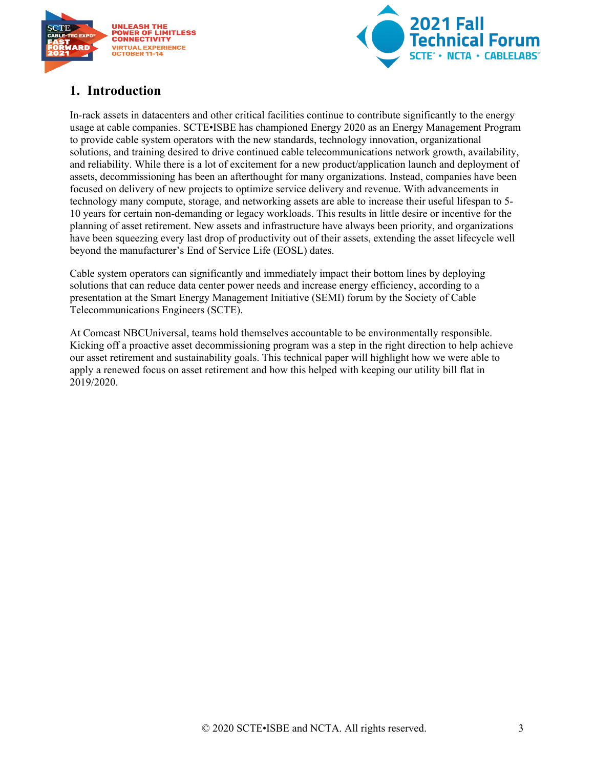



## <span id="page-2-0"></span>**1. Introduction**

In-rack assets in datacenters and other critical facilities continue to contribute significantly to the energy usage at cable companies. SCTE•ISBE has championed Energy 2020 as an Energy Management Program to provide cable system operators with the new standards, technology innovation, organizational solutions, and training desired to drive continued cable telecommunications network growth, availability, and reliability. While there is a lot of excitement for a new product/application launch and deployment of assets, decommissioning has been an afterthought for many organizations. Instead, companies have been focused on delivery of new projects to optimize service delivery and revenue. With advancements in technology many compute, storage, and networking assets are able to increase their useful lifespan to 5- 10 years for certain non-demanding or legacy workloads. This results in little desire or incentive for the planning of asset retirement. New assets and infrastructure have always been priority, and organizations have been squeezing every last drop of productivity out of their assets, extending the asset lifecycle well beyond the manufacturer's End of Service Life (EOSL) dates.

Cable system operators can significantly and immediately impact their bottom lines by deploying solutions that can reduce data center power needs and increase energy efficiency, according to a presentation at the Smart Energy Management Initiative (SEMI) forum by the Society of Cable Telecommunications Engineers (SCTE).

At Comcast NBCUniversal, teams hold themselves accountable to be environmentally responsible. Kicking off a proactive asset decommissioning program was a step in the right direction to help achieve our asset retirement and sustainability goals. This technical paper will highlight how we were able to apply a renewed focus on asset retirement and how this helped with keeping our utility bill flat in 2019/2020.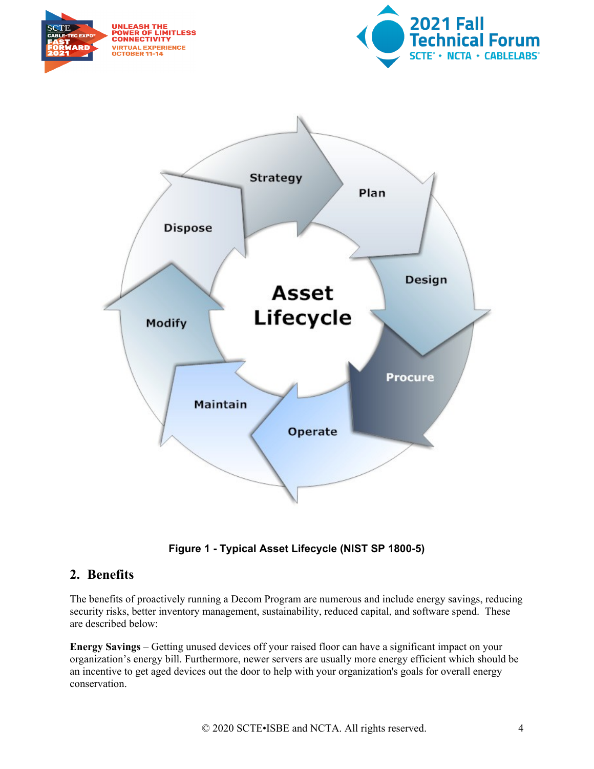





**Figure 1 - Typical Asset Lifecycle (NIST SP 1800-5)**

#### <span id="page-3-1"></span><span id="page-3-0"></span>**2. Benefits**

The benefits of proactively running a Decom Program are numerous and include energy savings, reducing security risks, better inventory management, sustainability, reduced capital, and software spend. These are described below:

**Energy Savings** – Getting unused devices off your raised floor can have a significant impact on your organization's energy bill. Furthermore, newer servers are usually more energy efficient which should be an incentive to get aged devices out the door to help with your organization's goals for overall energy conservation.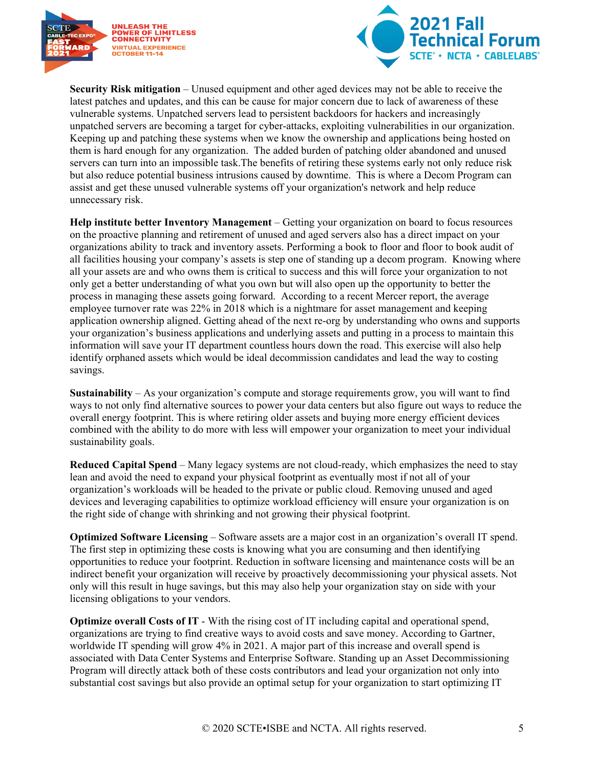



**Security Risk mitigation** – Unused equipment and other aged devices may not be able to receive the latest patches and updates, and this can be cause for major concern due to lack of awareness of these vulnerable systems. Unpatched servers lead to persistent backdoors for hackers and increasingly unpatched servers are becoming a target for cyber-attacks, exploiting vulnerabilities in our organization. Keeping up and patching these systems when we know the ownership and applications being hosted on them is hard enough for any organization. The added burden of patching older abandoned and unused servers can turn into an impossible task.The benefits of retiring these systems early not only reduce risk but also reduce potential business intrusions caused by downtime. This is where a Decom Program can assist and get these unused vulnerable systems off your organization's network and help reduce unnecessary risk.

**Help institute better Inventory Management** – Getting your organization on board to focus resources on the proactive planning and retirement of unused and aged servers also has a direct impact on your organizations ability to track and inventory assets. Performing a book to floor and floor to book audit of all facilities housing your company's assets is step one of standing up a decom program. Knowing where all your assets are and who owns them is critical to success and this will force your organization to not only get a better understanding of what you own but will also open up the opportunity to better the process in managing these assets going forward. According to a recent Mercer report, the average employee turnover rate was 22% in 2018 which is a nightmare for asset management and keeping application ownership aligned. Getting ahead of the next re-org by understanding who owns and supports your organization's business applications and underlying assets and putting in a process to maintain this information will save your IT department countless hours down the road. This exercise will also help identify orphaned assets which would be ideal decommission candidates and lead the way to costing savings.

**Sustainability** – As your organization's compute and storage requirements grow, you will want to find ways to not only find alternative sources to power your data centers but also figure out ways to reduce the overall energy footprint. This is where retiring older assets and buying more energy efficient devices combined with the ability to do more with less will empower your organization to meet your individual sustainability goals.

**Reduced Capital Spend** – Many legacy systems are not cloud-ready, which emphasizes the need to stay lean and avoid the need to expand your physical footprint as eventually most if not all of your organization's workloads will be headed to the private or public cloud. Removing unused and aged devices and leveraging capabilities to optimize workload efficiency will ensure your organization is on the right side of change with shrinking and not growing their physical footprint.

**Optimized Software Licensing** – Software assets are a major cost in an organization's overall IT spend. The first step in optimizing these costs is knowing what you are consuming and then identifying opportunities to reduce your footprint. Reduction in software licensing and maintenance costs will be an indirect benefit your organization will receive by proactively decommissioning your physical assets. Not only will this result in huge savings, but this may also help your organization stay on side with your licensing obligations to your vendors.

**Optimize overall Costs of IT** - With the rising cost of IT including capital and operational spend, organizations are trying to find creative ways to avoid costs and save money. According to Gartner, worldwide IT spending will grow 4% in 2021. A major part of this increase and overall spend is associated with Data Center Systems and Enterprise Software. Standing up an Asset Decommissioning Program will directly attack both of these costs contributors and lead your organization not only into substantial cost savings but also provide an optimal setup for your organization to start optimizing IT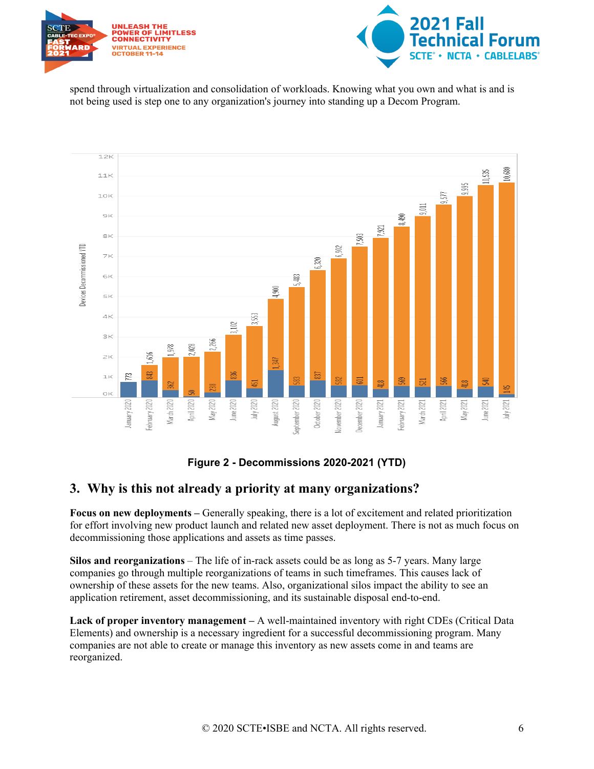



spend through virtualization and consolidation of workloads. Knowing what you own and what is and is not being used is step one to any organization's journey into standing up a Decom Program.



#### **Figure 2 - Decommissions 2020-2021 (YTD)**

#### <span id="page-5-1"></span><span id="page-5-0"></span>**3. Why is this not already a priority at many organizations?**

**Focus on new deployments –** Generally speaking, there is a lot of excitement and related prioritization for effort involving new product launch and related new asset deployment. There is not as much focus on decommissioning those applications and assets as time passes.

**Silos and reorganizations** – The life of in-rack assets could be as long as 5-7 years. Many large companies go through multiple reorganizations of teams in such timeframes. This causes lack of ownership of these assets for the new teams. Also, organizational silos impact the ability to see an application retirement, asset decommissioning, and its sustainable disposal end-to-end.

**Lack of proper inventory management –** A well-maintained inventory with right CDEs (Critical Data Elements) and ownership is a necessary ingredient for a successful decommissioning program. Many companies are not able to create or manage this inventory as new assets come in and teams are reorganized.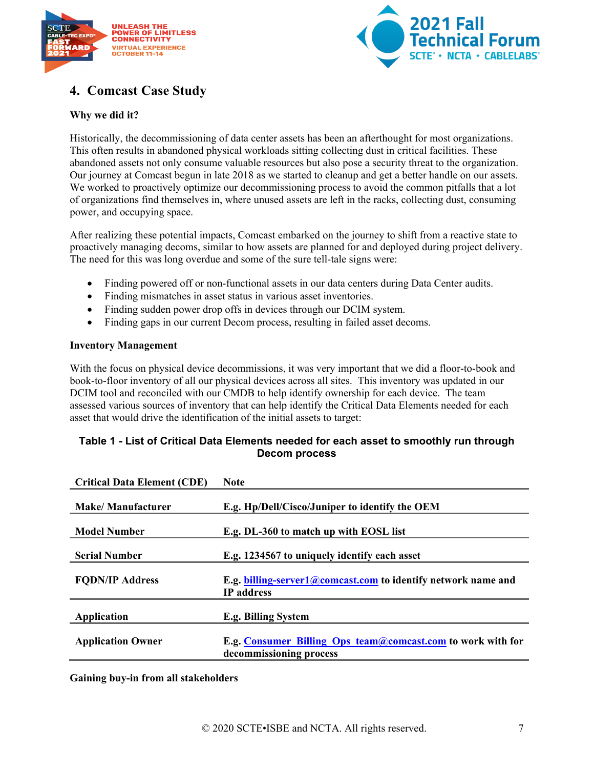



## <span id="page-6-0"></span>**4. Comcast Case Study**

#### **Why we did it?**

Historically, the decommissioning of data center assets has been an afterthought for most organizations. This often results in abandoned physical workloads sitting collecting dust in critical facilities. These abandoned assets not only consume valuable resources but also pose a security threat to the organization. Our journey at Comcast begun in late 2018 as we started to cleanup and get a better handle on our assets. We worked to proactively optimize our decommissioning process to avoid the common pitfalls that a lot of organizations find themselves in, where unused assets are left in the racks, collecting dust, consuming power, and occupying space.

After realizing these potential impacts, Comcast embarked on the journey to shift from a reactive state to proactively managing decoms, similar to how assets are planned for and deployed during project delivery. The need for this was long overdue and some of the sure tell-tale signs were:

- Finding powered off or non-functional assets in our data centers during Data Center audits.
- Finding mismatches in asset status in various asset inventories.
- Finding sudden power drop offs in devices through our DCIM system.
- Finding gaps in our current Decom process, resulting in failed asset decoms.

#### **Inventory Management**

With the focus on physical device decommissions, it was very important that we did a floor-to-book and book-to-floor inventory of all our physical devices across all sites. This inventory was updated in our DCIM tool and reconciled with our CMDB to help identify ownership for each device. The team assessed various sources of inventory that can help identify the Critical Data Elements needed for each asset that would drive the identification of the initial assets to target:

#### <span id="page-6-1"></span>**Table 1 - List of Critical Data Elements needed for each asset to smoothly run through Decom process**

| <b>Critical Data Element (CDE)</b> | <b>Note</b>                                                                               |
|------------------------------------|-------------------------------------------------------------------------------------------|
| <b>Make/Manufacturer</b>           | E.g. Hp/Dell/Cisco/Juniper to identify the OEM                                            |
| <b>Model Number</b>                | E.g. DL-360 to match up with EOSL list                                                    |
| <b>Serial Number</b>               | E.g. 1234567 to uniquely identify each asset                                              |
| <b>FODN/IP Address</b>             | E.g. billing-server1@comcast.com to identify network name and<br><b>IP</b> address        |
| Application                        | E.g. Billing System                                                                       |
| <b>Application Owner</b>           | E.g. Consumer Billing Ops $t$ eam@comcast.com to work with for<br>decommissioning process |

**Gaining buy-in from all stakeholders**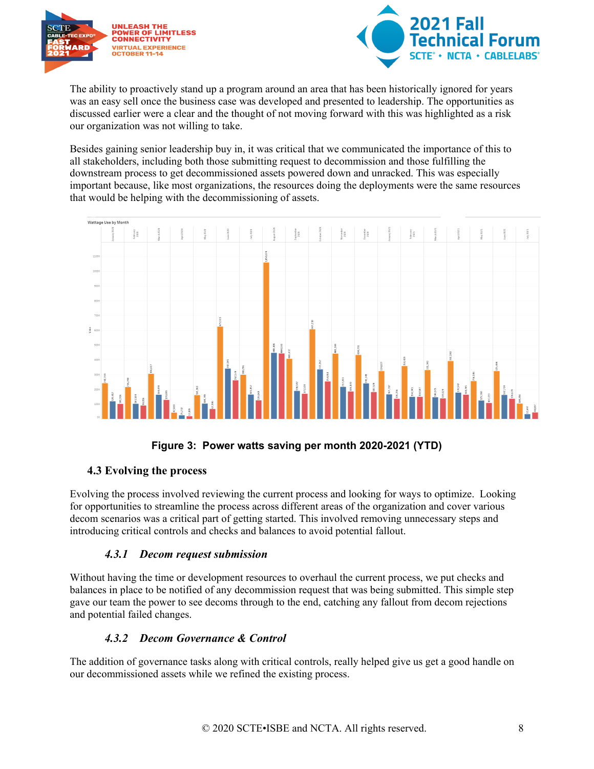



The ability to proactively stand up a program around an area that has been historically ignored for years was an easy sell once the business case was developed and presented to leadership. The opportunities as discussed earlier were a clear and the thought of not moving forward with this was highlighted as a risk our organization was not willing to take.

Besides gaining senior leadership buy in, it was critical that we communicated the importance of this to all stakeholders, including both those submitting request to decommission and those fulfilling the downstream process to get decommissioned assets powered down and unracked. This was especially important because, like most organizations, the resources doing the deployments were the same resources that would be helping with the decommissioning of assets.



#### **Figure 3: Power watts saving per month 2020-2021 (YTD)**

#### <span id="page-7-3"></span><span id="page-7-0"></span>**4.3 Evolving the process**

Evolving the process involved reviewing the current process and looking for ways to optimize. Looking for opportunities to streamline the process across different areas of the organization and cover various decom scenarios was a critical part of getting started. This involved removing unnecessary steps and introducing critical controls and checks and balances to avoid potential fallout.

#### *4.3.1 Decom request submission*

<span id="page-7-1"></span>Without having the time or development resources to overhaul the current process, we put checks and balances in place to be notified of any decommission request that was being submitted. This simple step gave our team the power to see decoms through to the end, catching any fallout from decom rejections and potential failed changes.

#### *4.3.2 Decom Governance & Control*

<span id="page-7-2"></span>The addition of governance tasks along with critical controls, really helped give us get a good handle on our decommissioned assets while we refined the existing process.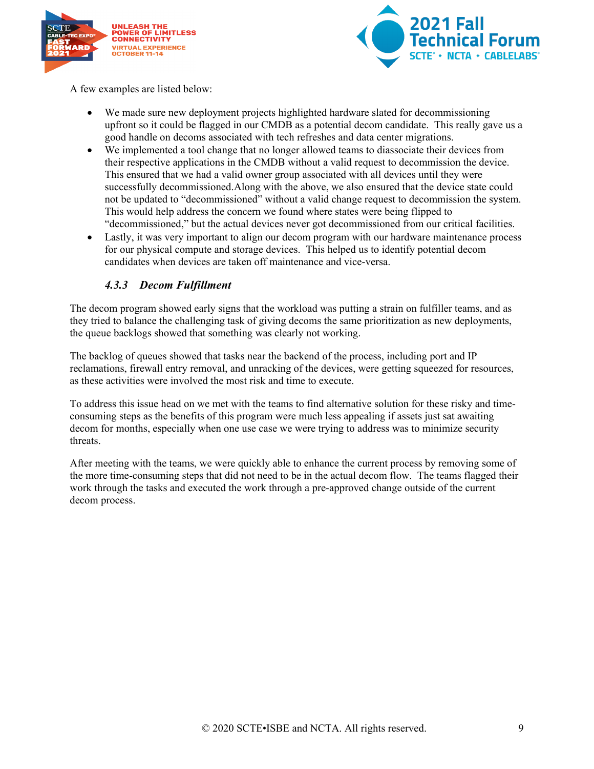



A few examples are listed below:

- We made sure new deployment projects highlighted hardware slated for decommissioning upfront so it could be flagged in our CMDB as a potential decom candidate. This really gave us a good handle on decoms associated with tech refreshes and data center migrations.
- We implemented a tool change that no longer allowed teams to diassociate their devices from their respective applications in the CMDB without a valid request to decommission the device. This ensured that we had a valid owner group associated with all devices until they were successfully decommissioned.Along with the above, we also ensured that the device state could not be updated to "decommissioned" without a valid change request to decommission the system. This would help address the concern we found where states were being flipped to "decommissioned," but the actual devices never got decommissioned from our critical facilities.
- Lastly, it was very important to align our decom program with our hardware maintenance process for our physical compute and storage devices. This helped us to identify potential decom candidates when devices are taken off maintenance and vice-versa.

#### *4.3.3 Decom Fulfillment*

<span id="page-8-0"></span>The decom program showed early signs that the workload was putting a strain on fulfiller teams, and as they tried to balance the challenging task of giving decoms the same prioritization as new deployments, the queue backlogs showed that something was clearly not working.

The backlog of queues showed that tasks near the backend of the process, including port and IP reclamations, firewall entry removal, and unracking of the devices, were getting squeezed for resources, as these activities were involved the most risk and time to execute.

To address this issue head on we met with the teams to find alternative solution for these risky and timeconsuming steps as the benefits of this program were much less appealing if assets just sat awaiting decom for months, especially when one use case we were trying to address was to minimize security threats.

After meeting with the teams, we were quickly able to enhance the current process by removing some of the more time-consuming steps that did not need to be in the actual decom flow. The teams flagged their work through the tasks and executed the work through a pre-approved change outside of the current decom process.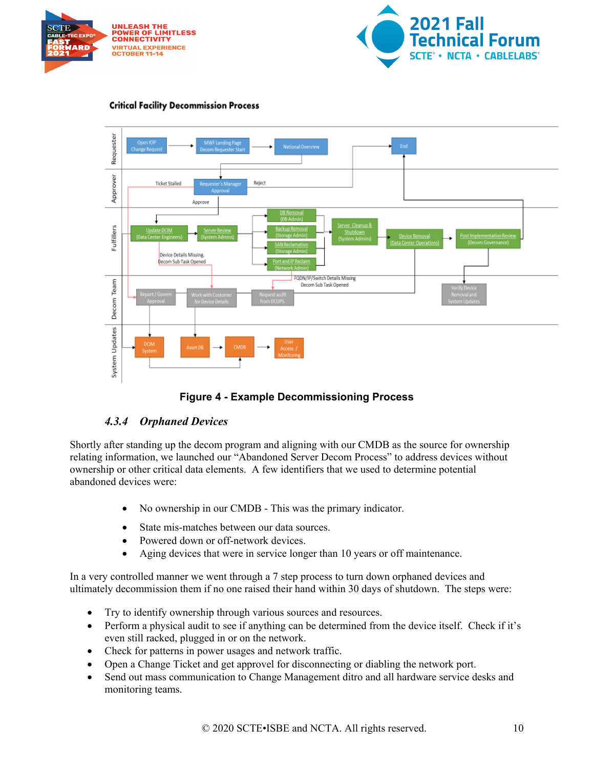





#### **Critical Facility Decommission Process**

#### **Figure 4 - Example Decommissioning Process**

#### <span id="page-9-1"></span>*4.3.4 Orphaned Devices*

<span id="page-9-0"></span>Shortly after standing up the decom program and aligning with our CMDB as the source for ownership relating information, we launched our "Abandoned Server Decom Process" to address devices without ownership or other critical data elements. A few identifiers that we used to determine potential abandoned devices were:

- No ownership in our CMDB This was the primary indicator.
- State mis-matches between our data sources.
- Powered down or off-network devices.
- Aging devices that were in service longer than 10 years or off maintenance.

In a very controlled manner we went through a 7 step process to turn down orphaned devices and ultimately decommission them if no one raised their hand within 30 days of shutdown. The steps were:

- Try to identify ownership through various sources and resources.
- Perform a physical audit to see if anything can be determined from the device itself. Check if it's even still racked, plugged in or on the network.
- Check for patterns in power usages and network traffic.
- Open a Change Ticket and get approvel for disconnecting or diabling the network port.
- Send out mass communication to Change Management ditro and all hardware service desks and monitoring teams.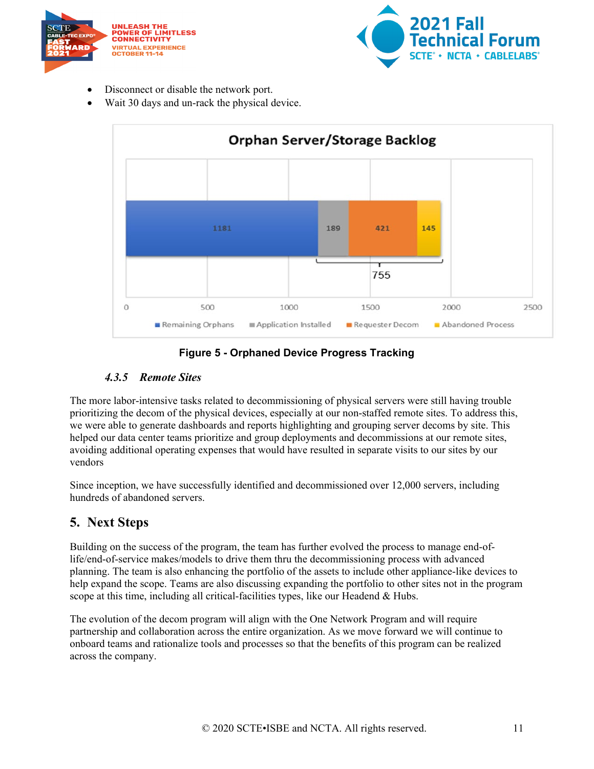



- Disconnect or disable the network port.
- Wait 30 days and un-rack the physical device.



#### **Figure 5 - Orphaned Device Progress Tracking**

#### <span id="page-10-2"></span>*4.3.5 Remote Sites*

<span id="page-10-0"></span>The more labor-intensive tasks related to decommissioning of physical servers were still having trouble prioritizing the decom of the physical devices, especially at our non-staffed remote sites. To address this, we were able to generate dashboards and reports highlighting and grouping server decoms by site. This helped our data center teams prioritize and group deployments and decommissions at our remote sites, avoiding additional operating expenses that would have resulted in separate visits to our sites by our vendors

Since inception, we have successfully identified and decommissioned over 12,000 servers, including hundreds of abandoned servers.

### <span id="page-10-1"></span>**5. Next Steps**

Building on the success of the program, the team has further evolved the process to manage end-oflife/end-of-service makes/models to drive them thru the decommissioning process with advanced planning. The team is also enhancing the portfolio of the assets to include other appliance-like devices to help expand the scope. Teams are also discussing expanding the portfolio to other sites not in the program scope at this time, including all critical-facilities types, like our Headend & Hubs.

The evolution of the decom program will align with the One Network Program and will require partnership and collaboration across the entire organization. As we move forward we will continue to onboard teams and rationalize tools and processes so that the benefits of this program can be realized across the company.